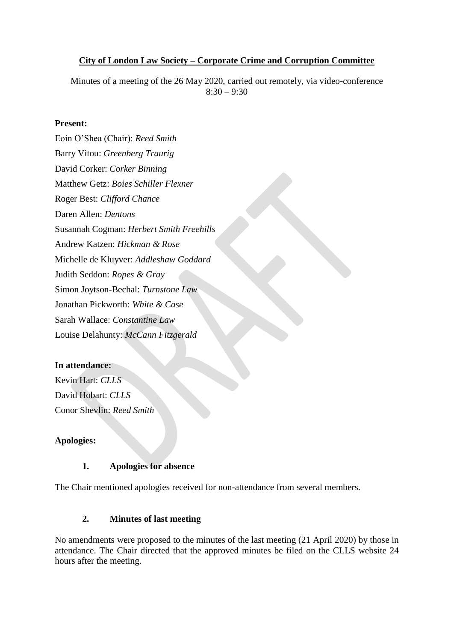### **City of London Law Society – Corporate Crime and Corruption Committee**

Minutes of a meeting of the 26 May 2020, carried out remotely, via video-conference  $8:30 - 9:30$ 

#### **Present:**

Eoin O'Shea (Chair): *Reed Smith*  Barry Vitou: *Greenberg Traurig* David Corker: *Corker Binning* Matthew Getz: *Boies Schiller Flexner* Roger Best: *Clifford Chance* Daren Allen: *Dentons* Susannah Cogman: *Herbert Smith Freehills* Andrew Katzen: *Hickman & Rose* Michelle de Kluyver: *Addleshaw Goddard* Judith Seddon: *Ropes & Gray* Simon Joytson-Bechal: *Turnstone Law* Jonathan Pickworth: *White & Case*  Sarah Wallace: *Constantine Law*  Louise Delahunty: *McCann Fitzgerald*

#### **In attendance:**

Kevin Hart: *CLLS* David Hobart: *CLLS* Conor Shevlin: *Reed Smith*

### **Apologies:**

### **1. Apologies for absence**

The Chair mentioned apologies received for non-attendance from several members.

### **2. Minutes of last meeting**

No amendments were proposed to the minutes of the last meeting (21 April 2020) by those in attendance. The Chair directed that the approved minutes be filed on the CLLS website 24 hours after the meeting.